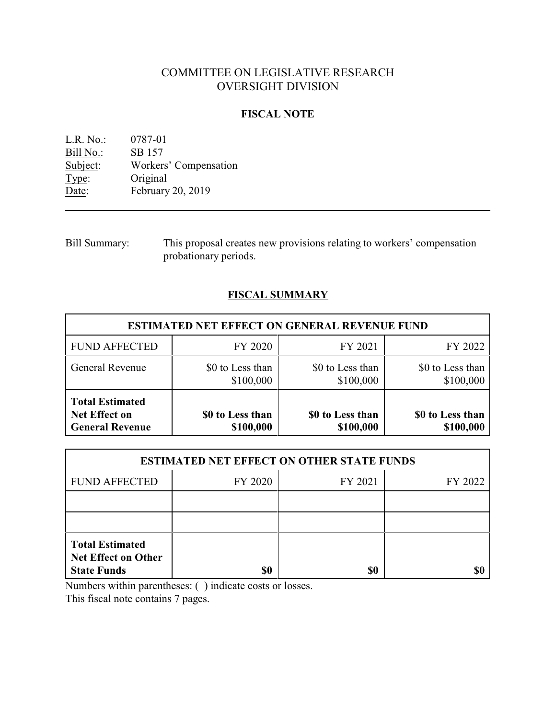# COMMITTEE ON LEGISLATIVE RESEARCH OVERSIGHT DIVISION

# **FISCAL NOTE**

L.R. No.: 0787-01 Bill No.: SB 157<br>Subject: Workers Workers' Compensation Type: Original Date: February 20, 2019

Bill Summary: This proposal creates new provisions relating to workers' compensation probationary periods.

# **FISCAL SUMMARY**

| <b>ESTIMATED NET EFFECT ON GENERAL REVENUE FUND</b>                      |                               |                               |                               |
|--------------------------------------------------------------------------|-------------------------------|-------------------------------|-------------------------------|
| <b>FUND AFFECTED</b>                                                     | FY 2020                       | FY 2021                       | FY 2022                       |
| General Revenue                                                          | \$0 to Less than<br>\$100,000 | \$0 to Less than<br>\$100,000 | \$0 to Less than<br>\$100,000 |
| <b>Total Estimated</b><br><b>Net Effect on</b><br><b>General Revenue</b> | \$0 to Less than<br>\$100,000 | \$0 to Less than<br>\$100,000 | \$0 to Less than<br>\$100,000 |

| <b>ESTIMATED NET EFFECT ON OTHER STATE FUNDS</b>                           |         |         |         |  |
|----------------------------------------------------------------------------|---------|---------|---------|--|
| <b>FUND AFFECTED</b>                                                       | FY 2020 | FY 2021 | FY 2022 |  |
|                                                                            |         |         |         |  |
|                                                                            |         |         |         |  |
| <b>Total Estimated</b><br><b>Net Effect on Other</b><br><b>State Funds</b> | \$0     | \$0     |         |  |

Numbers within parentheses: ( ) indicate costs or losses.

This fiscal note contains 7 pages.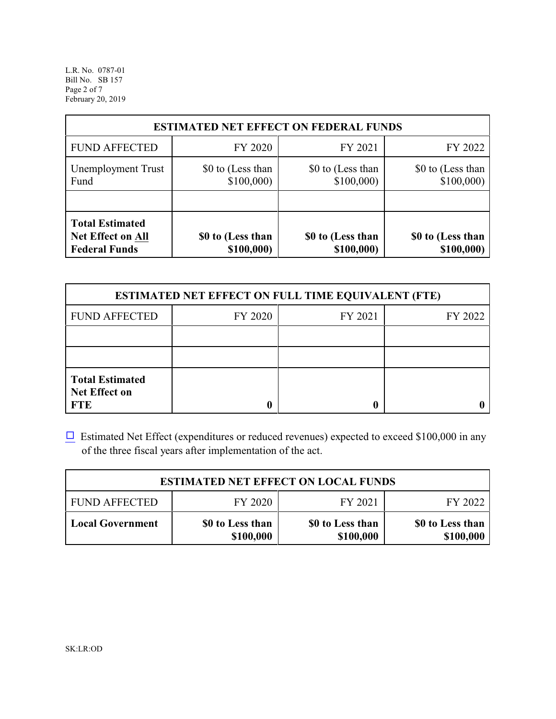L.R. No. 0787-01 Bill No. SB 157 Page 2 of 7 February 20, 2019

| <b>ESTIMATED NET EFFECT ON FEDERAL FUNDS</b>                        |                                 |                                 |                                 |
|---------------------------------------------------------------------|---------------------------------|---------------------------------|---------------------------------|
| <b>FUND AFFECTED</b>                                                | FY 2020                         | FY 2021                         | FY 2022                         |
| <b>Unemployment Trust</b><br>Fund                                   | \$0 to (Less than<br>\$100,000  | \$0 to (Less than<br>\$100,000  | \$0 to (Less than<br>\$100,000  |
| <b>Total Estimated</b><br>Net Effect on All<br><b>Federal Funds</b> | \$0 to (Less than<br>\$100,000) | \$0 to (Less than<br>\$100,000) | \$0 to (Less than<br>\$100,000) |

| <b>ESTIMATED NET EFFECT ON FULL TIME EQUIVALENT (FTE)</b>    |         |         |         |  |
|--------------------------------------------------------------|---------|---------|---------|--|
| <b>FUND AFFECTED</b>                                         | FY 2020 | FY 2021 | FY 2022 |  |
|                                                              |         |         |         |  |
|                                                              |         |         |         |  |
| <b>Total Estimated</b><br><b>Net Effect on</b><br><b>FTE</b> |         |         |         |  |

 $\Box$  Estimated Net Effect (expenditures or reduced revenues) expected to exceed \$100,000 in any of the three fiscal years after implementation of the act.

| <b>ESTIMATED NET EFFECT ON LOCAL FUNDS</b> |                               |                               |                               |
|--------------------------------------------|-------------------------------|-------------------------------|-------------------------------|
| <b>FUND AFFECTED</b>                       | FY 2020                       | FY 2021                       | FY 2022                       |
| <b>Local Government</b>                    | \$0 to Less than<br>\$100,000 | \$0 to Less than<br>\$100,000 | \$0 to Less than<br>\$100,000 |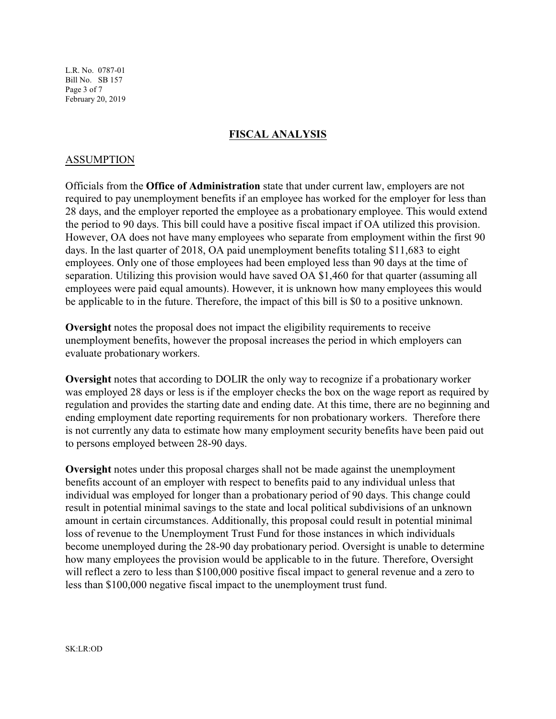L.R. No. 0787-01 Bill No. SB 157 Page 3 of 7 February 20, 2019

# **FISCAL ANALYSIS**

# ASSUMPTION

Officials from the **Office of Administration** state that under current law, employers are not required to pay unemployment benefits if an employee has worked for the employer for less than 28 days, and the employer reported the employee as a probationary employee. This would extend the period to 90 days. This bill could have a positive fiscal impact if OA utilized this provision. However, OA does not have many employees who separate from employment within the first 90 days. In the last quarter of 2018, OA paid unemployment benefits totaling \$11,683 to eight employees. Only one of those employees had been employed less than 90 days at the time of separation. Utilizing this provision would have saved OA \$1,460 for that quarter (assuming all employees were paid equal amounts). However, it is unknown how many employees this would be applicable to in the future. Therefore, the impact of this bill is \$0 to a positive unknown.

**Oversight** notes the proposal does not impact the eligibility requirements to receive unemployment benefits, however the proposal increases the period in which employers can evaluate probationary workers.

**Oversight** notes that according to DOLIR the only way to recognize if a probationary worker was employed 28 days or less is if the employer checks the box on the wage report as required by regulation and provides the starting date and ending date. At this time, there are no beginning and ending employment date reporting requirements for non probationary workers. Therefore there is not currently any data to estimate how many employment security benefits have been paid out to persons employed between 28-90 days.

**Oversight** notes under this proposal charges shall not be made against the unemployment benefits account of an employer with respect to benefits paid to any individual unless that individual was employed for longer than a probationary period of 90 days. This change could result in potential minimal savings to the state and local political subdivisions of an unknown amount in certain circumstances. Additionally, this proposal could result in potential minimal loss of revenue to the Unemployment Trust Fund for those instances in which individuals become unemployed during the 28-90 day probationary period. Oversight is unable to determine how many employees the provision would be applicable to in the future. Therefore, Oversight will reflect a zero to less than \$100,000 positive fiscal impact to general revenue and a zero to less than \$100,000 negative fiscal impact to the unemployment trust fund.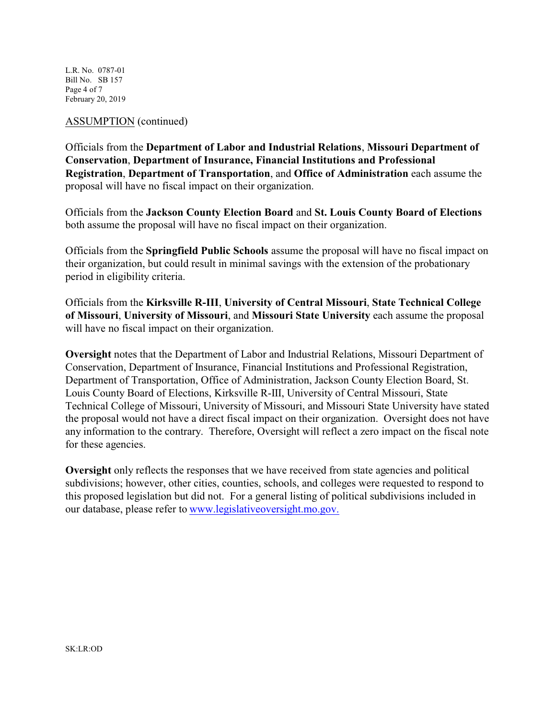L.R. No. 0787-01 Bill No. SB 157 Page 4 of 7 February 20, 2019

### ASSUMPTION (continued)

Officials from the **Department of Labor and Industrial Relations**, **Missouri Department of Conservation**, **Department of Insurance, Financial Institutions and Professional Registration**, **Department of Transportation**, and **Office of Administration** each assume the proposal will have no fiscal impact on their organization.

Officials from the **Jackson County Election Board** and **St. Louis County Board of Elections** both assume the proposal will have no fiscal impact on their organization.

Officials from the **Springfield Public Schools** assume the proposal will have no fiscal impact on their organization, but could result in minimal savings with the extension of the probationary period in eligibility criteria.

Officials from the **Kirksville R-III**, **University of Central Missouri**, **State Technical College of Missouri**, **University of Missouri**, and **Missouri State University** each assume the proposal will have no fiscal impact on their organization.

**Oversight** notes that the Department of Labor and Industrial Relations, Missouri Department of Conservation, Department of Insurance, Financial Institutions and Professional Registration, Department of Transportation, Office of Administration, Jackson County Election Board, St. Louis County Board of Elections, Kirksville R-III, University of Central Missouri, State Technical College of Missouri, University of Missouri, and Missouri State University have stated the proposal would not have a direct fiscal impact on their organization. Oversight does not have any information to the contrary. Therefore, Oversight will reflect a zero impact on the fiscal note for these agencies.

**Oversight** only reflects the responses that we have received from state agencies and political subdivisions; however, other cities, counties, schools, and colleges were requested to respond to this proposed legislation but did not. For a general listing of political subdivisions included in our database, please refer to [www.legislativeoversight.mo.gov.](http://www.legislativeoversight.mo.gov.)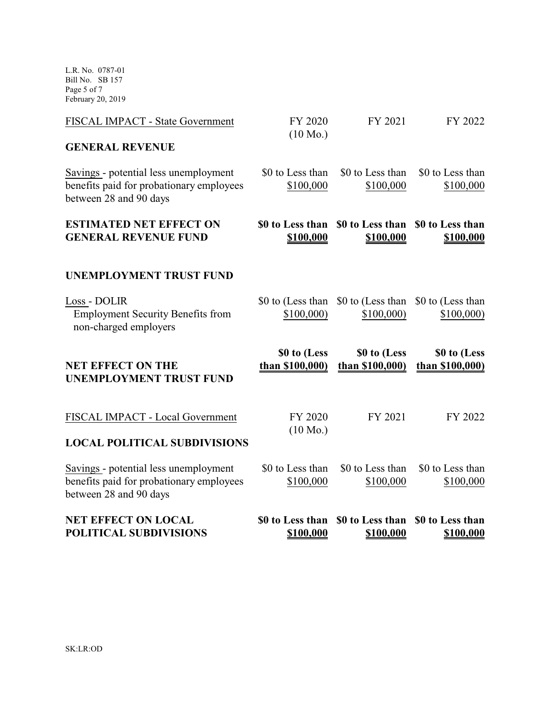L.R. No. 0787-01 Bill No. SB 157 Page 5 of 7 February 20, 2019

| Savings - potential less unemployment<br>benefits paid for probationary employees<br>between 28 and 90 days | \$0 to Less than<br>\$100,000   | \$0 to Less than<br>\$100,000   | \$0 to Less than<br>\$100,000   |
|-------------------------------------------------------------------------------------------------------------|---------------------------------|---------------------------------|---------------------------------|
| <b>LOCAL POLITICAL SUBDIVISIONS</b>                                                                         |                                 |                                 |                                 |
| FISCAL IMPACT - Local Government                                                                            | FY 2020<br>$(10 \text{ Mo.})$   | FY 2021                         | FY 2022                         |
| <b>NET EFFECT ON THE</b><br><b>UNEMPLOYMENT TRUST FUND</b>                                                  | \$0 to (Less<br>than \$100,000) | \$0 to (Less<br>than \$100,000) | \$0 to (Less<br>than \$100,000) |
| Loss - DOLIR<br><b>Employment Security Benefits from</b><br>non-charged employers                           | \$0 to (Less than<br>\$100,000  | \$0 to (Less than<br>\$100,000  | \$0 to (Less than<br>\$100,000  |
| <b>UNEMPLOYMENT TRUST FUND</b>                                                                              |                                 |                                 |                                 |
| <b>ESTIMATED NET EFFECT ON</b><br><b>GENERAL REVENUE FUND</b>                                               | \$0 to Less than<br>\$100,000   | \$0 to Less than<br>\$100,000   | \$0 to Less than<br>\$100,000   |
| Savings - potential less unemployment<br>benefits paid for probationary employees<br>between 28 and 90 days | \$0 to Less than<br>\$100,000   | \$0 to Less than<br>\$100,000   | \$0 to Less than<br>\$100,000   |
| <b>GENERAL REVENUE</b>                                                                                      |                                 |                                 |                                 |
| FISCAL IMPACT - State Government                                                                            | FY 2020<br>$(10 \text{ Mo.})$   | FY 2021                         | FY 2022                         |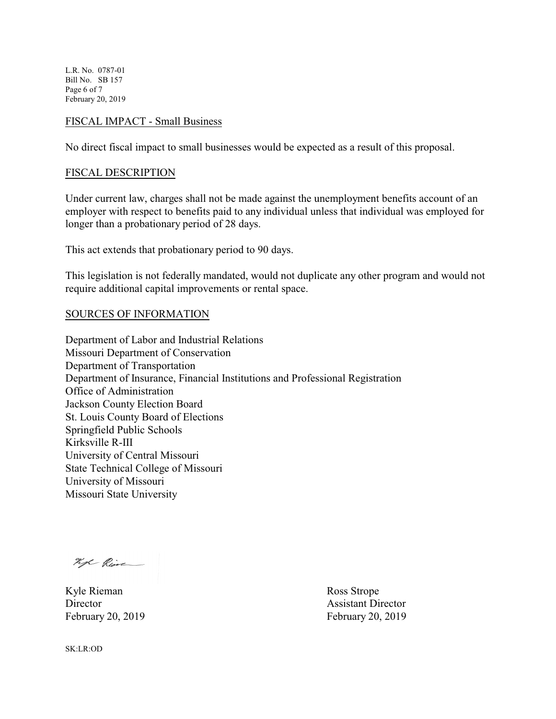L.R. No. 0787-01 Bill No. SB 157 Page 6 of 7 February 20, 2019

#### FISCAL IMPACT - Small Business

No direct fiscal impact to small businesses would be expected as a result of this proposal.

#### FISCAL DESCRIPTION

Under current law, charges shall not be made against the unemployment benefits account of an employer with respect to benefits paid to any individual unless that individual was employed for longer than a probationary period of 28 days.

This act extends that probationary period to 90 days.

This legislation is not federally mandated, would not duplicate any other program and would not require additional capital improvements or rental space.

#### SOURCES OF INFORMATION

Department of Labor and Industrial Relations Missouri Department of Conservation Department of Transportation Department of Insurance, Financial Institutions and Professional Registration Office of Administration Jackson County Election Board St. Louis County Board of Elections Springfield Public Schools Kirksville R-III University of Central Missouri State Technical College of Missouri University of Missouri Missouri State University

hope Rive

Kyle Rieman Ross Strope Director Assistant Director February 20, 2019 **February 20, 2019** 

SK:LR:OD